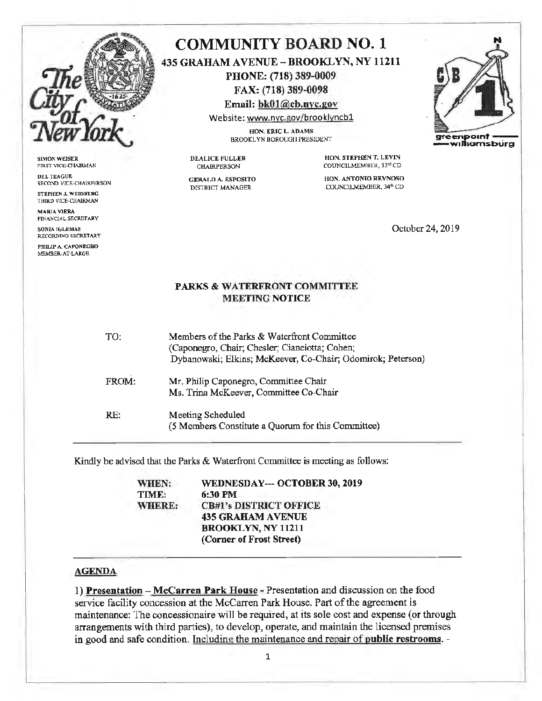

SIMON WEISER FIRST VICE-CHAIRMAN

DEL TEAGUE SECOND VICE-CHAIRPERSON STEPHEN J, WEIDBERG

THIRD VICE-CHAIRMAN MARIA VIERA FINANCIAL SECRETARY

SONIA IGLESIAS RECORDING SECRETARY

PHILIP A. CAPONEGRO MEMBER-AT-LARGE

## **COMMUNITY BOARD NO.** 1 **435 GRAHAM A VENUE** - **BROOKLYN, NY 11211 PHONE: (718) 389-0009 FAX: (718) 389-0098**

**Email: bkOl@cb.nyc.gov** 

Website: www.nyc.gov/brooklyncb1 HON. ERIC L. ADAMS

BROOKLYN BOROUGII PRESIDENT **greenpoint** 

DEALICE FULLER CHAIRPERSON

GERALD A. ESPOSITO DISTRICT MANAGER

**HON. STEPHEN T. LEVIN** COUNCILMEMHER, 33rd CD

**HON'. ANTONIO REYNOSO**  COUNCILMEMBER, 34th CD

October 24, 2019

## **PARKS** & **WATERFRONT COMMITTEE MEETING NOTICE**

| TO:   | Members of the Parks & Waterfront Committee<br>(Caponegro, Chair; Chesler; Cianciotta; Cohen;<br>Dybanowski; Elkins; McKeever, Co-Chair; Odomirok; Peterson) |
|-------|--------------------------------------------------------------------------------------------------------------------------------------------------------------|
| FROM: | Mr. Philip Caponegro, Committee Chair<br>Ms. Trina McKeever, Committee Co-Chair                                                                              |
| RE:   | Meeting Scheduled<br>(5 Members Constitute a Quorum for this Committee)                                                                                      |

Kindly be advised that the Parks & Waterfront Committee is meeting as follows:

| WHEN:         | WEDNESDAY--- OCTOBER 30, 2019 |
|---------------|-------------------------------|
| TIME:         | 6:30 PM                       |
| <b>WHERE:</b> | <b>CB#1's DISTRICT OFFICE</b> |
|               | <b>435 GRAHAM AVENUE</b>      |
|               | <b>BROOKLYN, NY 11211</b>     |
|               | (Corner of Frost Street)      |

## **AGENDA**

1) **Presentation -Mccarren Park House** - Presentation and discussion on the food service facility concession at the Mccarren Park House. Part of the agreement is maintenance: The concessionaire will be required, at its sole cost and expense (or through arrangements with third parties), to develop, operate, and maintain the licensed premises in good and safe condition. Including the maintenance and repair of **public restrooms.** -